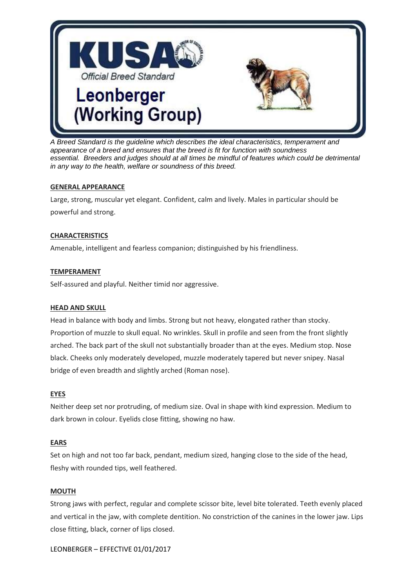

*A Breed Standard is the guideline which describes the ideal characteristics, temperament and appearance of a breed and ensures that the breed is fit for function with soundness essential. Breeders and judges should at all times be mindful of features which could be detrimental in any way to the health, welfare or soundness of this breed.*

## **GENERAL APPEARANCE**

Large, strong, muscular yet elegant. Confident, calm and lively. Males in particular should be powerful and strong.

## **CHARACTERISTICS**

Amenable, intelligent and fearless companion; distinguished by his friendliness.

## **TEMPERAMENT**

Self-assured and playful. Neither timid nor aggressive.

#### **HEAD AND SKULL**

Head in balance with body and limbs. Strong but not heavy, elongated rather than stocky. Proportion of muzzle to skull equal. No wrinkles. Skull in profile and seen from the front slightly arched. The back part of the skull not substantially broader than at the eyes. Medium stop. Nose black. Cheeks only moderately developed, muzzle moderately tapered but never snipey. Nasal bridge of even breadth and slightly arched (Roman nose).

# **EYES**

Neither deep set nor protruding, of medium size. Oval in shape with kind expression. Medium to dark brown in colour. Eyelids close fitting, showing no haw.

#### **EARS**

Set on high and not too far back, pendant, medium sized, hanging close to the side of the head, fleshy with rounded tips, well feathered.

#### **MOUTH**

Strong jaws with perfect, regular and complete scissor bite, level bite tolerated. Teeth evenly placed and vertical in the jaw, with complete dentition. No constriction of the canines in the lower jaw. Lips close fitting, black, corner of lips closed.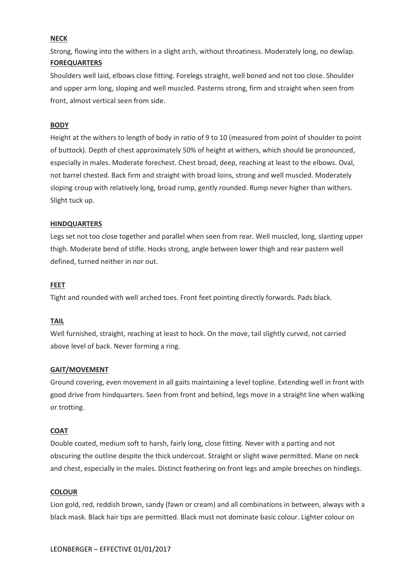## **NECK**

Strong, flowing into the withers in a slight arch, without throatiness. Moderately long, no dewlap. **FOREQUARTERS**

Shoulders well laid, elbows close fitting. Forelegs straight, well boned and not too close. Shoulder and upper arm long, sloping and well muscled. Pasterns strong, firm and straight when seen from front, almost vertical seen from side.

#### **BODY**

Height at the withers to length of body in ratio of 9 to 10 (measured from point of shoulder to point of buttock). Depth of chest approximately 50% of height at withers, which should be pronounced, especially in males. Moderate forechest. Chest broad, deep, reaching at least to the elbows. Oval, not barrel chested. Back firm and straight with broad loins, strong and well muscled. Moderately sloping croup with relatively long, broad rump, gently rounded. Rump never higher than withers. Slight tuck up.

## **HINDQUARTERS**

Legs set not too close together and parallel when seen from rear. Well muscled, long, slanting upper thigh. Moderate bend of stifle. Hocks strong, angle between lower thigh and rear pastern well defined, turned neither in nor out.

## **FEET**

Tight and rounded with well arched toes. Front feet pointing directly forwards. Pads black.

#### **TAIL**

Well furnished, straight, reaching at least to hock. On the move, tail slightly curved, not carried above level of back. Never forming a ring.

#### **GAIT/MOVEMENT**

Ground covering, even movement in all gaits maintaining a level topline. Extending well in front with good drive from hindquarters. Seen from front and behind, legs move in a straight line when walking or trotting.

#### **COAT**

Double coated, medium soft to harsh, fairly long, close fitting. Never with a parting and not obscuring the outline despite the thick undercoat. Straight or slight wave permitted. Mane on neck and chest, especially in the males. Distinct feathering on front legs and ample breeches on hindlegs.

#### **COLOUR**

Lion gold, red, reddish brown, sandy (fawn or cream) and all combinations in between, always with a black mask. Black hair tips are permitted. Black must not dominate basic colour. Lighter colour on